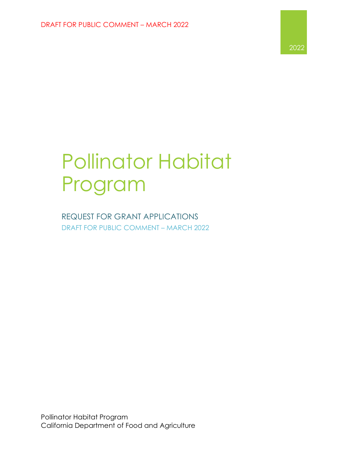

# Pollinator Habitat Program

REQUEST FOR GRANT APPLICATIONS DRAFT FOR PUBLIC COMMENT – MARCH 2022

Pollinator Habitat Program California Department of Food and Agriculture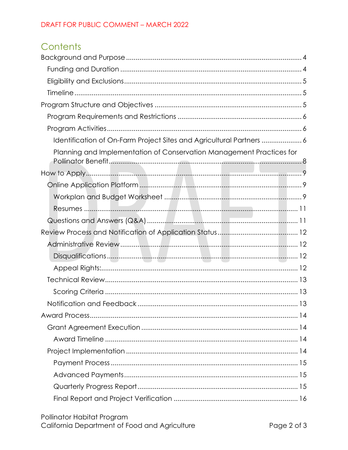# Contents

| Identification of On-Farm Project Sites and Agricultural Partners  6 |
|----------------------------------------------------------------------|
| Planning and Implementation of Conservation Management Practices for |
|                                                                      |
|                                                                      |
|                                                                      |
|                                                                      |
|                                                                      |
|                                                                      |
|                                                                      |
|                                                                      |
|                                                                      |
|                                                                      |
|                                                                      |
|                                                                      |
|                                                                      |
|                                                                      |
|                                                                      |
|                                                                      |
|                                                                      |
|                                                                      |
|                                                                      |
|                                                                      |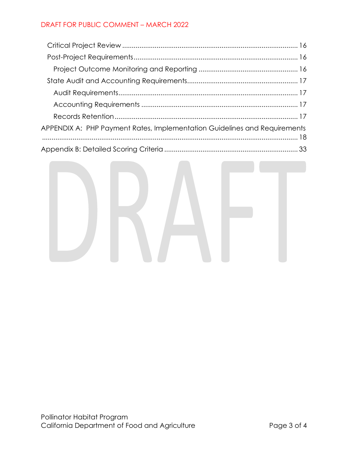| APPENDIX A: PHP Payment Rates, Implementation Guidelines and Requirements |
|---------------------------------------------------------------------------|
|                                                                           |
|                                                                           |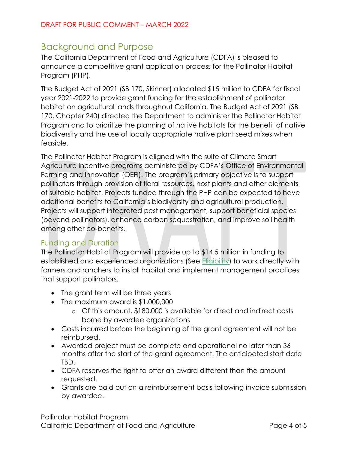### <span id="page-3-0"></span>Background and Purpose

The California Department of Food and Agriculture (CDFA) is pleased to announce a competitive grant application process for the Pollinator Habitat Program (PHP).

The Budget Act of 2021 (SB 170, Skinner) allocated \$15 million to CDFA for fiscal year 2021-2022 to provide grant funding for the establishment of pollinator habitat on agricultural lands throughout California. The Budget Act of 2021 (SB 170, Chapter 240) directed the Department to administer the Pollinator Habitat Program and to prioritize the planning of native habitats for the benefit of native biodiversity and the use of locally appropriate native plant seed mixes when feasible.

The Pollinator Habitat Program is aligned with the suite of Climate Smart Agriculture incentive programs administered by CDFA's Office of Environmental Farming and Innovation (OEFI). The program's primary objective is to support pollinators through provision of floral resources, host plants and other elements of suitable habitat. Projects funded through the PHP can be expected to have additional benefits to California's biodiversity and agricultural production. Projects will support integrated pest management, support beneficial species (beyond pollinators), enhance carbon sequestration, and improve soil health among other co-benefits.

### <span id="page-3-1"></span>Funding and Duration

The Pollinator Habitat Program will provide up to \$14.5 million in funding to established and experienced organizations (See [Eligibility\)](#page-4-0) to work directly with farmers and ranchers to install habitat and implement management practices that support pollinators.

- The grant term will be three years
- The maximum award is \$1,000,000
	- o Of this amount, \$180,000 is available for direct and indirect costs borne by awardee organizations
- Costs incurred before the beginning of the grant agreement will not be reimbursed.
- Awarded project must be complete and operational no later than 36 months after the start of the grant agreement. The anticipated start date TBD.
- CDFA reserves the right to offer an award different than the amount requested.
- Grants are paid out on a reimbursement basis following invoice submission by awardee.

Pollinator Habitat Program California Department of Food and Agriculture Theorem 2015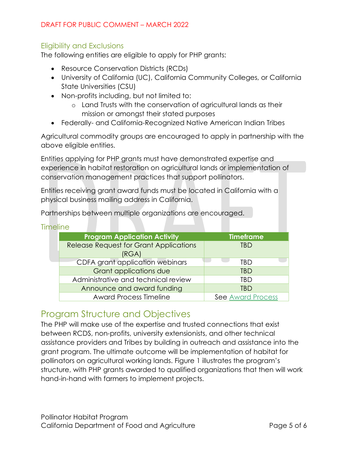### <span id="page-4-0"></span>Eligibility and Exclusions

The following entities are eligible to apply for PHP grants:

- Resource Conservation Districts (RCDs)
- University of California (UC), California Community Colleges, or California State Universities (CSU)
- Non-profits including, but not limited to:
	- o Land Trusts with the conservation of agricultural lands as their mission or amongst their stated purposes
- Federally- and California-Recognized Native American Indian Tribes

Agricultural commodity groups are encouraged to apply in partnership with the above eligible entities.

Entities applying for PHP grants must have demonstrated expertise and experience in habitat restoration on agricultural lands or implementation of conservation management practices that support pollinators.

Entities receiving grant award funds must be located in California with a physical business mailing address in California.

Partnerships between multiple organizations are encouraged.

<span id="page-4-1"></span>

|  | Timeline |  |  |
|--|----------|--|--|
|  |          |  |  |

| <b>Program Application Activity</b>           | <b>Timeframe</b>         |
|-----------------------------------------------|--------------------------|
| <b>Release Request for Grant Applications</b> | TBD                      |
| (RGA)                                         |                          |
| CDFA grant application webinars               | TBD                      |
| <b>Grant applications due</b>                 | <b>TBD</b>               |
| Administrative and technical review           | TRD                      |
| Announce and award funding                    | TBD                      |
| <b>Award Process Timeline</b>                 | <b>See Award Process</b> |

### <span id="page-4-2"></span>Program Structure and Objectives

The PHP will make use of the expertise and trusted connections that exist between RCDS, non-profits, university extensionists, and other technical assistance providers and Tribes by building in outreach and assistance into the grant program. The ultimate outcome will be implementation of habitat for pollinators on agricultural working lands. Figure 1 illustrates the program's structure, with PHP grants awarded to qualified organizations that then will work hand-in-hand with farmers to implement projects.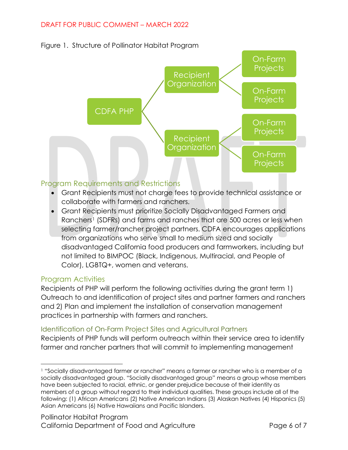



### <span id="page-5-0"></span>Program Requirements and Restrictions

- Grant Recipients must not charge fees to provide technical assistance or collaborate with farmers and ranchers.
- Grant Recipients must prioritize Socially Disadvantaged Farmers and Ranchers<sup>1</sup> (SDFRs) and farms and ranches that are 500 acres or less when selecting farmer/rancher project partners. CDFA encourages applications from organizations who serve small to medium sized and socially disadvantaged California food producers and farmworkers, including but not limited to BIMPOC (Black, Indigenous, Multiracial, and People of Color), LGBTQ+, women and veterans.

### <span id="page-5-1"></span>Program Activities

Recipients of PHP will perform the following activities during the grant term 1) Outreach to and identification of project sites and partner farmers and ranchers and 2) Plan and implement the installation of conservation management practices in partnership with farmers and ranchers.

### <span id="page-5-2"></span>Identification of On-Farm Project Sites and Agricultural Partners

Recipients of PHP funds will perform outreach within their service area to identify farmer and rancher partners that will commit to implementing management

<span id="page-5-3"></span><sup>1</sup> "Socially disadvantaged farmer or rancher" means a farmer or rancher who is a member of a socially disadvantaged group. "Socially disadvantaged group" means a group whose members have been subjected to racial, ethnic, or gender prejudice because of their identity as members of a group without regard to their individual qualities. These groups include all of the following: (1) African Americans (2) Native American Indians (3) Alaskan Natives (4) Hispanics (5) Asian Americans (6) Native Hawaiians and Pacific Islanders.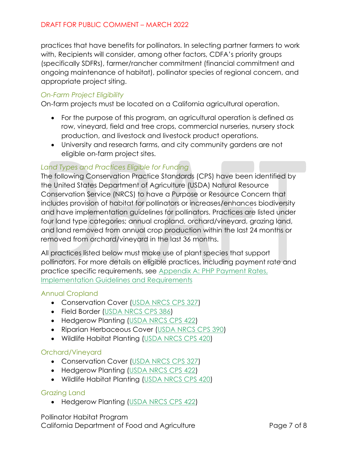practices that have benefits for pollinators. In selecting partner farmers to work with, Recipients will consider, among other factors, CDFA's priority groups (specifically SDFRs), farmer/rancher commitment (financial commitment and ongoing maintenance of habitat), pollinator species of regional concern, and appropriate project siting.

### *On-Farm Project Eligibility*

On-farm projects must be located on a California agricultural operation.

- For the purpose of this program, an agricultural operation is defined as row, vineyard, field and tree crops, commercial nurseries, nursery stock production, and livestock and livestock product operations.
- University and research farms, and city community gardens are not eligible on-farm project sites.

### *Land Types and Practices Eligible for Funding*

The following Conservation Practice Standards (CPS) have been identified by the United States Department of Agriculture (USDA) Natural Resource Conservation Service (NRCS) to have a Purpose or Resource Concern that includes provision of habitat for pollinators or increases/enhances biodiversity and have implementation guidelines for pollinators. Practices are listed under four land type categories; annual cropland, orchard/vineyard, grazing land, and land removed from annual crop production within the last 24 months or removed from orchard/vineyard in the last 36 months.

All practices listed below must make use of plant species that support pollinators. For more details on eligible practices, including payment rate and practice specific requirements, see [Appendix A: PHP Payment Rates,](#page-17-0)  [Implementation Guidelines and Requirements](#page-17-0)

### Annual Cropland

- Conservation Cover [\(USDA NRCS CPS 327\)](https://efotg.sc.egov.usda.gov/references/public/CA/327-std-ca-4-16.pdf)
- Field Border [\(USDA NRCS CPS 386\)](https://www.nrcs.usda.gov/Internet/FSE_DOCUMENTS/stelprdb1241318.pdf)
- Hedgerow Planting [\(USDA NRCS CPS 422\)](https://efotg.sc.egov.usda.gov/references/public/CA/422-std-ca-3-12.pdf)
- Riparian Herbaceous Cover [\(USDA NRCS CPS 390\)](https://efotg.sc.egov.usda.gov/references/public/CA/390-std-3-12.pdf)
- Wildlife Habitat Planting [\(USDA NRCS CPS 420\)](https://efotg.sc.egov.usda.gov/api/CPSFile/26907/420_CA_CPS_Wildlife_Habitat_Planting_2019)

### Orchard/Vineyard

- Conservation Cover [\(USDA NRCS CPS 327\)](https://efotg.sc.egov.usda.gov/references/public/CA/327-std-ca-4-16.pdf)
- Hedgerow Planting [\(USDA NRCS CPS 422\)](https://efotg.sc.egov.usda.gov/references/public/CA/422-std-ca-3-12.pdf)
- Wildlife Habitat Planting [\(USDA NRCS CPS 420\)](https://efotg.sc.egov.usda.gov/api/CPSFile/26907/420_CA_CPS_Wildlife_Habitat_Planting_2019)

### Grazing Land

• Hedgerow Planting [\(USDA NRCS CPS 422\)](https://efotg.sc.egov.usda.gov/references/public/CA/422-std-ca-3-12.pdf)

Pollinator Habitat Program California Department of Food and Agriculture Theorem 2008 Page 7 of 8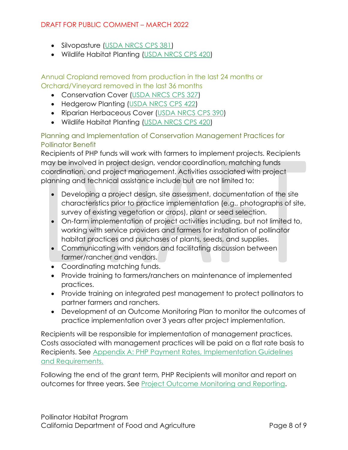- Silvopasture [\(USDA NRCS CPS 381\)](https://efotg.sc.egov.usda.gov/api/CPSFile/26515/381_CA_CPS_Silvopasture_2017)
- Wildlife Habitat Planting [\(USDA NRCS CPS 420\)](https://efotg.sc.egov.usda.gov/api/CPSFile/26907/420_CA_CPS_Wildlife_Habitat_Planting_2019)

Annual Cropland removed from production in the last 24 months or Orchard/Vineyard removed in the last 36 months

- Conservation Cover [\(USDA NRCS CPS 327\)](https://efotg.sc.egov.usda.gov/references/public/CA/327-std-ca-4-16.pdf)
- Hedgerow Planting [\(USDA NRCS CPS 422\)](https://efotg.sc.egov.usda.gov/references/public/CA/422-std-ca-3-12.pdf)
- Riparian Herbaceous Cover [\(USDA NRCS CPS 390\)](https://efotg.sc.egov.usda.gov/references/public/CA/390-std-3-12.pdf)
- Wildlife Habitat Planting [\(USDA NRCS CPS 420\)](https://efotg.sc.egov.usda.gov/api/CPSFile/26907/420_CA_CPS_Wildlife_Habitat_Planting_2019)

### <span id="page-7-0"></span>Planning and Implementation of Conservation Management Practices for Pollinator Benefit

Recipients of PHP funds will work with farmers to implement projects. Recipients may be involved in project design, vendor coordination, matching funds coordination, and project management. Activities associated with project planning and technical assistance include but are not limited to:

- Developing a project design, site assessment, documentation of the site characteristics prior to practice implementation (e.g., photographs of site, survey of existing vegetation or crops), plant or seed selection.
- On-farm implementation of project activities including, but not limited to, working with service providers and farmers for installation of pollinator habitat practices and purchases of plants, seeds, and supplies.
- Communicating with vendors and facilitating discussion between farmer/rancher and vendors.
- Coordinating matching funds.
- Provide training to farmers/ranchers on maintenance of implemented practices.
- Provide training on integrated pest management to protect pollinators to partner farmers and ranchers.
- Development of an Outcome Monitoring Plan to monitor the outcomes of practice implementation over 3 years after project implementation.

Recipients will be responsible for implementation of management practices. Costs associated with management practices will be paid on a flat rate basis to Recipients. See [Appendix A: PHP Payment Rates, Implementation Guidelines](#page-17-0)  [and Requirements.](#page-17-0)

Following the end of the grant term, PHP Recipients will monitor and report on outcomes for three years. See [Project Outcome Monitoring and Reporting.](#page-15-3)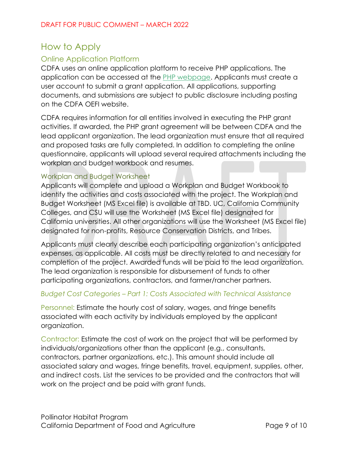## <span id="page-8-0"></span>How to Apply

### <span id="page-8-1"></span>Online Application Platform

CDFA uses an online application platform to receive PHP applications. The application can be accessed at the **PHP** [webpage.](https://www.cdfa.ca.gov/oefi/php/) Applicants must create a user account to submit a grant application. All applications, supporting documents, and submissions are subject to public disclosure including posting on the CDFA OEFI website.

CDFA requires information for all entities involved in executing the PHP grant activities. If awarded, the PHP grant agreement will be between CDFA and the lead applicant organization. The lead organization must ensure that all required and proposed tasks are fully completed. In addition to completing the online questionnaire, applicants will upload several required attachments including the workplan and budget workbook and resumes.

### <span id="page-8-2"></span>Workplan and Budget Worksheet

Applicants will complete and upload a Workplan and Budget Workbook to identify the activities and costs associated with the project. The Workplan and Budget Worksheet (MS Excel file) is available at TBD. UC, California Community Colleges, and CSU will use the Worksheet (MS Excel file) designated for California universities. All other organizations will use the Worksheet (MS Excel file) designated for non-profits, Resource Conservation Districts, and Tribes.

Applicants must clearly describe each participating organization's anticipated expenses, as applicable. All costs must be directly related to and necessary for completion of the project. Awarded funds will be paid to the lead organization. The lead organization is responsible for disbursement of funds to other participating organizations, contractors, and farmer/rancher partners.

### *Budget Cost Categories – Part 1: Costs Associated with Technical Assistance*

Personnel: Estimate the hourly cost of salary, wages, and fringe benefits associated with each activity by individuals employed by the applicant organization.

Contractor: Estimate the cost of work on the project that will be performed by individuals/organizations other than the applicant (e.g., consultants, contractors, partner organizations, etc.). This amount should include all associated salary and wages, fringe benefits, travel, equipment, supplies, other, and indirect costs. List the services to be provided and the contractors that will work on the project and be paid with grant funds.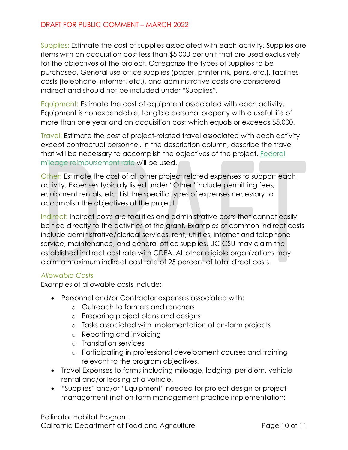Supplies: Estimate the cost of supplies associated with each activity. Supplies are items with an acquisition cost less than \$5,000 per unit that are used exclusively for the objectives of the project. Categorize the types of supplies to be purchased. General use office supplies (paper, printer ink, pens, etc.), facilities costs (telephone, internet, etc.), and administrative costs are considered indirect and should not be included under "Supplies".

Equipment: Estimate the cost of equipment associated with each activity. Equipment is nonexpendable, tangible personal property with a useful life of more than one year and an acquisition cost which equals or exceeds \$5,000.

Travel: Estimate the cost of project-related travel associated with each activity except contractual personnel. In the description column, describe the travel that will be necessary to accomplish the objectives of the project. [Federal](https://www.irs.gov/newsroom/irs-issues-standard-mileage-rates-for-2022)  [mileage reimbursement rate](https://www.irs.gov/newsroom/irs-issues-standard-mileage-rates-for-2022) will be used.

Other: Estimate the cost of all other project related expenses to support each activity. Expenses typically listed under "Other" include permitting fees, equipment rentals, etc. List the specific types of expenses necessary to accomplish the objectives of the project.

Indirect: Indirect costs are facilities and administrative costs that cannot easily be tied directly to the activities of the grant. Examples of common indirect costs include administrative/clerical services, rent, utilities, internet and telephone service, maintenance, and general office supplies. UC CSU may claim the established indirect cost rate with CDFA. All other eligible organizations may claim a maximum indirect cost rate of 25 percent of total direct costs.

#### *Allowable Costs*

Examples of allowable costs include:

- Personnel and/or Contractor expenses associated with:
	- o Outreach to farmers and ranchers
	- o Preparing project plans and designs
	- o Tasks associated with implementation of on-farm projects
	- o Reporting and invoicing
	- o Translation services
	- o Participating in professional development courses and training relevant to the program objectives.
- Travel Expenses to farms including mileage, lodging, per diem, vehicle rental and/or leasing of a vehicle.
- "Supplies" and/or "Equipment" needed for project design or project management (not on-farm management practice implementation;

Pollinator Habitat Program California Department of Food and Agriculture The Rage 10 of 11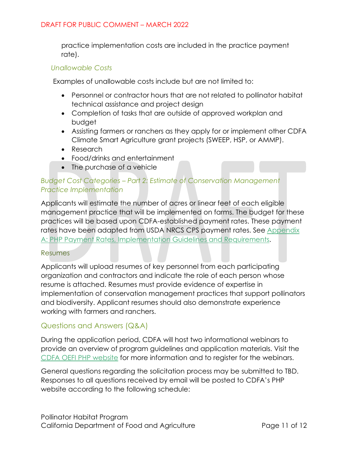practice implementation costs are included in the practice payment rate).

#### *Unallowable Costs*

Examples of unallowable costs include but are not limited to:

- Personnel or contractor hours that are not related to pollinator habitat technical assistance and project design
- Completion of tasks that are outside of approved workplan and budget
- Assisting farmers or ranchers as they apply for or implement other CDFA Climate Smart Agriculture grant projects (SWEEP, HSP, or AMMP).
- Research
- Food/drinks and entertainment
- The purchase of a vehicle

### *Budget Cost Categories – Part 2: Estimate of Conservation Management Practice Implementation*

Applicants will estimate the number of acres or linear feet of each eligible management practice that will be implemented on farms. The budget for these practices will be based upon CDFA-established payment rates. These payment rates have been adapted from USDA NRCS CPS payment rates. See [Appendix](#page-17-0)  [A: PHP Payment Rates, Implementation Guidelines and Requirements.](#page-17-0)

#### <span id="page-10-0"></span>Resumes

Applicants will upload resumes of key personnel from each participating organization and contractors and indicate the role of each person whose resume is attached. Resumes must provide evidence of expertise in implementation of conservation management practices that support pollinators and biodiversity. Applicant resumes should also demonstrate experience working with farmers and ranchers.

### <span id="page-10-1"></span>Questions and Answers (Q&A)

During the application period, CDFA will host two informational webinars to provide an overview of program guidelines and application materials. Visit the [CDFA OEFI PHP](https://www.cdfa.ca.gov/oefi/php/) website for more information and to register for the webinars.

General questions regarding the solicitation process may be submitted to TBD. Responses to all questions received by email will be posted to CDFA's PHP website according to the following schedule: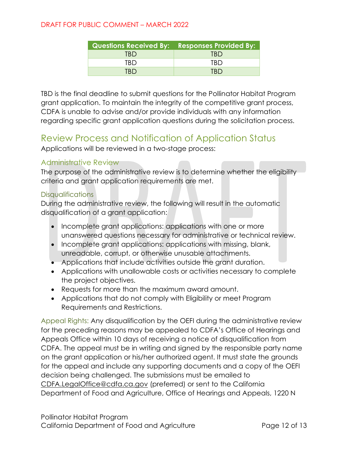|     | Questions Received By: Responses Provided By: |
|-----|-----------------------------------------------|
| TRD | TRD                                           |
| TRD | TRD.                                          |
| TRD | TRD                                           |

TBD is the final deadline to submit questions for the Pollinator Habitat Program grant application. To maintain the integrity of the competitive grant process, CDFA is unable to advise and/or provide individuals with any information regarding specific grant application questions during the solicitation process.

### <span id="page-11-0"></span>Review Process and Notification of Application Status

Applications will be reviewed in a two-stage process:

### <span id="page-11-1"></span>Administrative Review

The purpose of the administrative review is to determine whether the eligibility criteria and grant application requirements are met.

### <span id="page-11-2"></span>**Disqualifications**

During the administrative review, the following will result in the automatic disqualification of a grant application:

- Incomplete grant applications: applications with one or more unanswered questions necessary for administrative or technical review.
- Incomplete grant applications: applications with missing, blank, unreadable, corrupt, or otherwise unusable attachments.
- Applications that include activities outside the grant duration.
- Applications with unallowable costs or activities necessary to complete the project objectives.
- Requests for more than the maximum award amount.
- Applications that do not comply with Eligibility or meet Program Requirements and Restrictions.

<span id="page-11-3"></span>Appeal Rights: Any disqualification by the OEFI during the administrative review for the preceding reasons may be appealed to CDFA's Office of Hearings and Appeals Office within 10 days of receiving a notice of disqualification from CDFA. The appeal must be in writing and signed by the responsible party name on the grant application or his/her authorized agent. It must state the grounds for the appeal and include any supporting documents and a copy of the OEFI decision being challenged. The submissions must be emailed to [CDFA.LegalOffice@cdfa.ca.gov](mailto:CDFA.LegalOffice@cdfa.ca.gov) (preferred) or sent to the California Department of Food and Agriculture, Office of Hearings and Appeals, 1220 N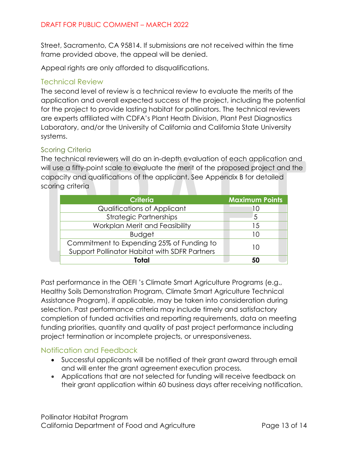Street, Sacramento, CA 95814. If submissions are not received within the time frame provided above, the appeal will be denied.

Appeal rights are only afforded to disqualifications.

### <span id="page-12-0"></span>Technical Review

The second level of review is a technical review to evaluate the merits of the application and overall expected success of the project, including the potential for the project to provide lasting habitat for pollinators. The technical reviewers are experts affiliated with CDFA's Plant Heath Division, Plant Pest Diagnostics Laboratory, and/or the University of California and California State University systems.

### <span id="page-12-1"></span>Scoring Criteria

The technical reviewers will do an in-depth evaluation of each application and will use a fifty-point scale to evaluate the merit of the proposed project and the capacity and qualifications of the applicant. See Appendix B for detailed scoring criteria

| <b>Criteria</b>                               | <b>Maximum Points</b> |
|-----------------------------------------------|-----------------------|
| Qualifications of Applicant                   | 10                    |
| <b>Strategic Partnerships</b>                 | 5                     |
| Workplan Merit and Feasibility                | 15                    |
| <b>Budget</b>                                 | 10                    |
| Commitment to Expending 25% of Funding to     |                       |
| Support Pollinator Habitat with SDFR Partners | 10                    |
| Total                                         | 50                    |

Past performance in the OEFI 's Climate Smart Agriculture Programs (e.g., Healthy Soils Demonstration Program, Climate Smart Agriculture Technical Assistance Program), if applicable, may be taken into consideration during selection. Past performance criteria may include timely and satisfactory completion of funded activities and reporting requirements, data on meeting funding priorities, quantity and quality of past project performance including project termination or incomplete projects, or unresponsiveness.

### <span id="page-12-2"></span>Notification and Feedback

- Successful applicants will be notified of their grant award through email and will enter the grant agreement execution process.
- Applications that are not selected for funding will receive feedback on their grant application within 60 business days after receiving notification.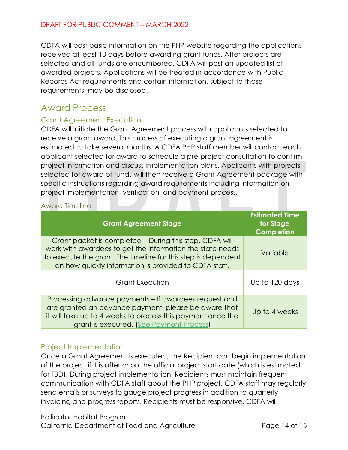CDFA will post basic information on the PHP website regarding the applications received at least 10 days before awarding grant funds. After projects are selected and all funds are encumbered, CDFA will post an updated list of awarded projects. Applications will be treated in accordance with Public Records Act requirements and certain information, subject to those requirements, may be disclosed.

## <span id="page-13-0"></span>Award Process

### <span id="page-13-1"></span>Grant Agreement Execution

CDFA will initiate the Grant Agreement process with applicants selected to receive a grant award. This process of executing a grant agreement is estimated to take several months. A CDFA PHP staff member will contact each applicant selected for award to schedule a pre-project consultation to confirm project information and discuss implementation plans. Applicants with projects selected for award of funds will then receive a Grant Agreement package with specific instructions regarding award requirements including information on project implementation, verification, and payment process.

<span id="page-13-2"></span>Award Timeline

| <b>Grant Agreement Stage</b>                                                                                                                                                                                                                   | <b>Estimated Time</b><br>for Stage<br><b>Completion</b> |
|------------------------------------------------------------------------------------------------------------------------------------------------------------------------------------------------------------------------------------------------|---------------------------------------------------------|
| Grant packet is completed – During this step, CDFA will<br>work with awardees to get the information the state needs<br>to execute the grant. The timeline for this step is dependent<br>on how quickly information is provided to CDFA staff. | Variable                                                |
| <b>Grant Execution</b>                                                                                                                                                                                                                         | Up to 120 days                                          |
| Processing advance payments – If awardees request and<br>are granted an advance payment, please be aware that<br>it will take up to 4 weeks to process this payment once the<br>grant is executed. (See Payment Process)                       | Up to 4 weeks                                           |

### <span id="page-13-3"></span>Project Implementation

Once a Grant Agreement is executed, the Recipient can begin implementation of the project if it is after or on the official project start date (which is estimated for TBD). During project implementation, Recipients must maintain frequent communication with CDFA staff about the PHP project. CDFA staff may regularly send emails or surveys to gauge project progress in addition to quarterly invoicing and progress reports. Recipients must be responsive. CDFA will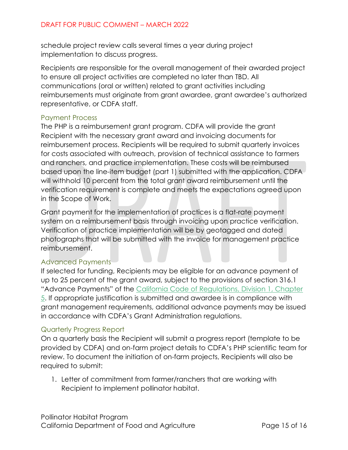schedule project review calls several times a year during project implementation to discuss progress.

Recipients are responsible for the overall management of their awarded project to ensure all project activities are completed no later than TBD. All communications (oral or written) related to grant activities including reimbursements must originate from grant awardee, grant awardee's authorized representative, or CDFA staff.

### <span id="page-14-0"></span>Payment Process

The PHP is a reimbursement grant program. CDFA will provide the grant Recipient with the necessary grant award and invoicing documents for reimbursement process. Recipients will be required to submit quarterly invoices for costs associated with outreach, provision of technical assistance to farmers and ranchers, and practice implementation. These costs will be reimbursed based upon the line-item budget (part 1) submitted with the application. CDFA will withhold 10 percent from the total grant award reimbursement until the verification requirement is complete and meets the expectations agreed upon in the Scope of Work.

Grant payment for the implementation of practices is a flat-rate payment system on a reimbursement basis through invoicing upon practice verification. Verification of practice implementation will be by geotagged and dated photographs that will be submitted with the invoice for management practice reimbursement.

### <span id="page-14-1"></span>Advanced Payments

If selected for funding, Recipients may be eligible for an advance payment of up to 25 percent of the grant award, subject to the provisions of section 316.1 "Advance Payments" of the [California Code of Regulations, Division 1, Chapter](https://www.cdfa.ca.gov/Regulations/General/FinalGrantAdminRegs-Text.pdf)  [5.](https://www.cdfa.ca.gov/Regulations/General/FinalGrantAdminRegs-Text.pdf) If appropriate justification is submitted and awardee is in compliance with grant management requirements, additional advance payments may be issued in accordance with CDFA's Grant Administration regulations.

### <span id="page-14-2"></span>Quarterly Progress Report

On a quarterly basis the Recipient will submit a progress report (template to be provided by CDFA) and on-farm project details to CDFA's PHP scientific team for review. To document the initiation of on-farm projects, Recipients will also be required to submit:

1. Letter of commitment from farmer/ranchers that are working with Recipient to implement pollinator habitat.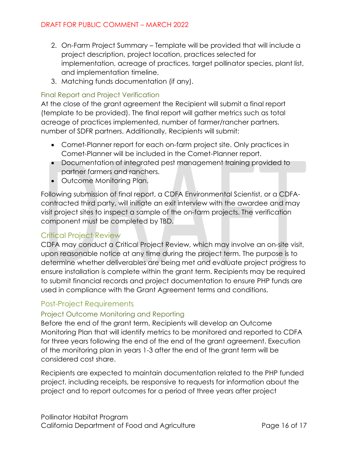- 2. On-Farm Project Summary Template will be provided that will include a project description, project location, practices selected for implementation, acreage of practices, target pollinator species, plant list, and implementation timeline.
- 3. Matching funds documentation (if any).

### <span id="page-15-0"></span>Final Report and Project Verification

At the close of the grant agreement the Recipient will submit a final report (template to be provided). The final report will gather metrics such as total acreage of practices implemented, number of farmer/rancher partners, number of SDFR partners. Additionally, Recipients will submit:

- Comet-Planner report for each on-farm project site. Only practices in Comet-Planner will be included in the Comet-Planner report.
- Documentation of integrated pest management training provided to partner farmers and ranchers.
- Outcome Monitoring Plan.

Following submission of final report, a CDFA Environmental Scientist, or a CDFAcontracted third party, will initiate an exit interview with the awardee and may visit project sites to inspect a sample of the on-farm projects. The verification component must be completed by TBD.

### <span id="page-15-1"></span>Critical Project Review

CDFA may conduct a Critical Project Review, which may involve an on-site visit, upon reasonable notice at any time during the project term. The purpose is to determine whether deliverables are being met and evaluate project progress to ensure installation is complete within the grant term. Recipients may be required to submit financial records and project documentation to ensure PHP funds are used in compliance with the Grant Agreement terms and conditions.

### <span id="page-15-2"></span>Post-Project Requirements

### <span id="page-15-3"></span>Project Outcome Monitoring and Reporting

Before the end of the grant term, Recipients will develop an Outcome Monitoring Plan that will identify metrics to be monitored and reported to CDFA for three years following the end of the end of the grant agreement. Execution of the monitoring plan in years 1-3 after the end of the grant term will be considered cost share.

Recipients are expected to maintain documentation related to the PHP funded project, including receipts, be responsive to requests for information about the project and to report outcomes for a period of three years after project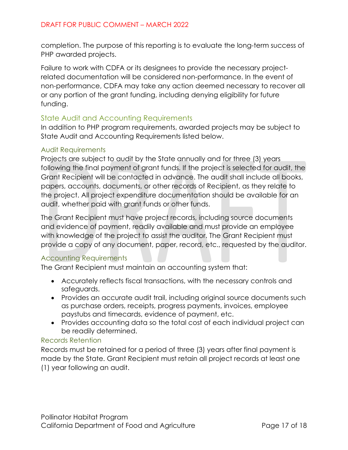completion. The purpose of this reporting is to evaluate the long-term success of PHP awarded projects.

Failure to work with CDFA or its designees to provide the necessary projectrelated documentation will be considered non-performance. In the event of non-performance, CDFA may take any action deemed necessary to recover all or any portion of the grant funding, including denying eligibility for future funding.

### <span id="page-16-0"></span>State Audit and Accounting Requirements

In addition to PHP program requirements, awarded projects may be subject to State Audit and Accounting Requirements listed below.

### <span id="page-16-1"></span>Audit Requirements

Projects are subject to audit by the State annually and for three (3) years following the final payment of grant funds. If the project is selected for audit, the Grant Recipient will be contacted in advance. The audit shall include all books, papers, accounts, documents, or other records of Recipient, as they relate to the project. All project expenditure documentation should be available for an audit, whether paid with grant funds or other funds.

The Grant Recipient must have project records, including source documents and evidence of payment, readily available and must provide an employee with knowledge of the project to assist the auditor. The Grant Recipient must provide a copy of any document, paper, record, etc., requested by the auditor.

### <span id="page-16-2"></span>Accounting Requirements

The Grant Recipient must maintain an accounting system that:

- Accurately reflects fiscal transactions, with the necessary controls and safeguards.
- Provides an accurate audit trail, including original source documents such as purchase orders, receipts, progress payments, invoices, employee paystubs and timecards, evidence of payment, etc.
- Provides accounting data so the total cost of each individual project can be readily determined.

### <span id="page-16-3"></span>Records Retention

Records must be retained for a period of three (3) years after final payment is made by the State. Grant Recipient must retain all project records at least one (1) year following an audit.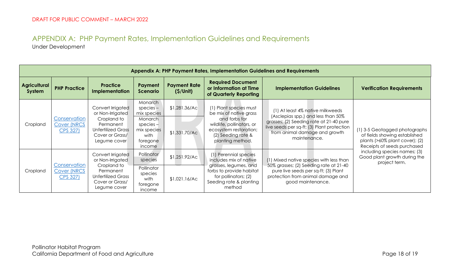### APPENDIX A: PHP Payment Rates, Implementation Guidelines and Requirements Under Development

<span id="page-17-0"></span>

| Appendix A: PHP Payment Rates, Implementation Guidelines and Requirements |                                                                                                                            |                                                                                          |                                                                     |                                                                                                                |                                                                                                                                          |                                                                                                                                        |                                                                                                                                          |  |  |
|---------------------------------------------------------------------------|----------------------------------------------------------------------------------------------------------------------------|------------------------------------------------------------------------------------------|---------------------------------------------------------------------|----------------------------------------------------------------------------------------------------------------|------------------------------------------------------------------------------------------------------------------------------------------|----------------------------------------------------------------------------------------------------------------------------------------|------------------------------------------------------------------------------------------------------------------------------------------|--|--|
| Agricultural<br>System                                                    | <b>PHP Practice</b>                                                                                                        | <b>Practice</b><br><b>Implementation</b>                                                 | Payment<br><b>Scenario</b>                                          | <b>Payment Rate</b><br>(S/Unit)                                                                                | <b>Required Document</b><br>or Information at Time<br>of Quarterly Reporting                                                             | <b>Implementation Guidelines</b>                                                                                                       | <b>Verification Requirements</b>                                                                                                         |  |  |
|                                                                           |                                                                                                                            | Convert Irrigated<br>or Non-Irrigated                                                    | Monarch<br>$species -$<br>mix species                               | \$1,281.36/AC                                                                                                  | (1) Plant species must<br>be mix of native grass                                                                                         | (1) At least 4% native milkweeds<br>(Asclepias spp.) and less than 50%                                                                 |                                                                                                                                          |  |  |
| Conservation<br>Cropland                                                  | <b>Cover (NRCS</b><br>CPS 327)                                                                                             | Cropland to<br>Permanent<br><b>Unfertilized Grass</b><br>Cover or Grass/<br>Legume cover | Monarch<br>$species -$<br>mix species<br>with<br>foregone<br>income | \$1,331.70/AC                                                                                                  | and forbs for<br>wildlife, pollinators, or<br>ecosystem restoration;<br>(2) Seeding rate &<br>planting method.                           | grasses; (2) Seeding rate at 21-40 pure<br>live seeds per sq-ft; (3) Plant protection<br>from animal damage and growth<br>maintenance. | (1) 3-5 Geotagged photographs<br>of fields showing established<br>plants $($ >60% plant cover $)$ ; $(2)$<br>Receipts of seeds purchased |  |  |
|                                                                           | Conservation                                                                                                               | Convert Irrigated<br>or Non-Irrigated                                                    | Pollinator<br>species                                               | \$1,251.92/AC                                                                                                  | (1) Perennial species<br>includes mix of native                                                                                          | (1) Mixed native species with less than                                                                                                | including species names; (3)<br>Good plant growth during the<br>project term.                                                            |  |  |
| Cropland                                                                  | Cropland to<br><b>Cover (NRCS</b><br>Permanent<br><b>Unfertilized Grass</b><br>CPS 327)<br>Cover or Grass/<br>Legume cover | Pollinator<br>species<br>with<br>foregone<br>income                                      | \$1,021.16/AC                                                       | grasses, legumes, and<br>forbs to provide habitat<br>for pollinators; (2)<br>Seeding rate & planting<br>method | 50% grasses; (2) Seeding rate at 21-40<br>pure live seeds per sq-ft; (3) Plant<br>protection from animal damage and<br>good maintenance. |                                                                                                                                        |                                                                                                                                          |  |  |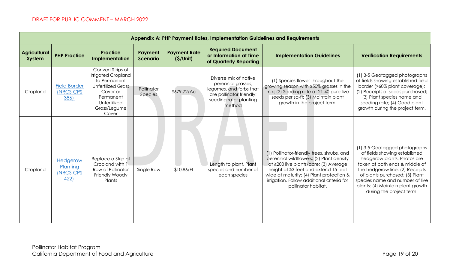| Appendix A: PHP Payment Rates, Implementation Guidelines and Requirements |                                                  |                                                                                                                                                        |                            |                                 |                                                                                                                                        |                                                                                                                                                                                                                                                                                          |                                                                                                                                                                                                                                                                                                          |  |  |  |
|---------------------------------------------------------------------------|--------------------------------------------------|--------------------------------------------------------------------------------------------------------------------------------------------------------|----------------------------|---------------------------------|----------------------------------------------------------------------------------------------------------------------------------------|------------------------------------------------------------------------------------------------------------------------------------------------------------------------------------------------------------------------------------------------------------------------------------------|----------------------------------------------------------------------------------------------------------------------------------------------------------------------------------------------------------------------------------------------------------------------------------------------------------|--|--|--|
| <b>Agricultural</b><br>System                                             | <b>PHP Practice</b>                              | <b>Practice</b><br><b>Implementation</b>                                                                                                               | Payment<br><b>Scenario</b> | <b>Payment Rate</b><br>(S/Unit) | <b>Required Document</b><br>or Information at Time<br>of Quarterly Reporting                                                           | <b>Implementation Guidelines</b>                                                                                                                                                                                                                                                         | <b>Verification Requirements</b>                                                                                                                                                                                                                                                                         |  |  |  |
| Cropland                                                                  | <b>Field Border</b><br><b>(NRCS CPS</b><br>386)  | Convert Strips of<br>Irrigated Cropland<br>to Permanent<br><b>Unfertilized Grass</b><br>Cover or<br>Permanent<br>Unfertilized<br>Grass/Legume<br>Cover | Pollinator<br>Species      | \$679.72/Ac                     | Diverse mix of native<br>perennial grasses,<br>legumes, and forbs that<br>are pollinator friendly;<br>seeding rate; planting<br>method | (1) Species flower throughout the<br>growing season with ≤50% grasses in the<br>mix; (2) Seeding rate at 21-40 pure live<br>seeds per sq-ft; (3) Maintain plant<br>growth in the project term.                                                                                           | (1) 3-5 Geotagged photographs<br>of fields showing established field<br>border (>60% plant coverage);<br>(2) Receipts of seeds purchased;<br>(3) Plant species name and<br>seeding rate; (4) Good plant<br>growth during the project term.                                                               |  |  |  |
| Cropland                                                                  | Hedgerow<br>Planting<br><b>(NRCS CPS</b><br>422) | Replace a Strip of<br>Cropland with 1<br>Row of Pollinator<br>Friendly Woody<br>Plants                                                                 | Single Row                 | \$10.86/Ft                      | Length to plant, Plant<br>species and number of<br>each species                                                                        | (1) Pollinator-friendly trees, shrubs, and<br>perennial wildflowers; (2) Plant density<br>at ≥200 live plants/acre; (3) Average<br>height at ≥3 feet and extend 15 feet<br>wide at maturity; (4) Plant protection &<br>irrigation. Follow additional criteria for<br>pollinator habitat. | (1) 3-5 Geotagged photographs<br>of fields showing established<br>hedgerow plants. Photos are<br>taken at both ends & middle of<br>the hedgerow line. (2) Receipts<br>of plants purchased; (3) Plant<br>species name and number of live<br>plants; (4) Maintain plant growth<br>during the project term. |  |  |  |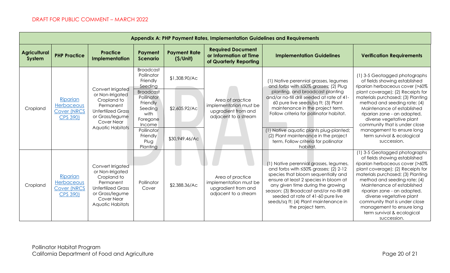| Appendix A: PHP Payment Rates, Implementation Guidelines and Requirements |                                                                 |                                                                                                                                                     |                                                                                                                                                                                            |                                                  |                                                                                           |                                                                                                                                                                                                                                                                                                                                                                                                                               |                                                                                                                                                                                                                                                                                                                                                                                                                 |  |  |  |
|---------------------------------------------------------------------------|-----------------------------------------------------------------|-----------------------------------------------------------------------------------------------------------------------------------------------------|--------------------------------------------------------------------------------------------------------------------------------------------------------------------------------------------|--------------------------------------------------|-------------------------------------------------------------------------------------------|-------------------------------------------------------------------------------------------------------------------------------------------------------------------------------------------------------------------------------------------------------------------------------------------------------------------------------------------------------------------------------------------------------------------------------|-----------------------------------------------------------------------------------------------------------------------------------------------------------------------------------------------------------------------------------------------------------------------------------------------------------------------------------------------------------------------------------------------------------------|--|--|--|
| <b>Agricultural</b><br>System                                             | <b>PHP Practice</b>                                             | <b>Practice</b><br>Implementation                                                                                                                   | Payment<br><b>Scenario</b>                                                                                                                                                                 | <b>Payment Rate</b><br>(S/Unit)                  | <b>Required Document</b><br>or Information at Time<br>of Quarterly Reporting              | <b>Implementation Guidelines</b>                                                                                                                                                                                                                                                                                                                                                                                              | <b>Verification Requirements</b>                                                                                                                                                                                                                                                                                                                                                                                |  |  |  |
| Cropland                                                                  | Riparian<br>Herbaceous<br><b>Cover (NRCS</b><br><b>CPS 390)</b> | Convert Irrigated<br>or Non-Irrigated<br>Cropland to<br>Permanent<br><b>Unfertilized Grass</b><br>or Grass/legume<br>Cover Near<br>Aquatic Habitats | <b>Broadcast</b><br>Pollinator<br>Friendly<br>Seeding<br><b>Broadcast</b><br>Pollinator<br>Friendly<br>Seeding<br>with<br>Foregone<br>Income<br>Pollinator<br>Friendly<br>Plug<br>Planting | \$1,308.90/Ac<br>\$2,605.92/Ac<br>\$30,949.46/Ac | Area of practice<br>implementation must be<br>upgradient from and<br>adjacent to a stream | (1) Native perennial grasses, legumes<br>and forbs with ≤50% grasses; (2) Plug<br>planting, and broadcast planting<br>and/or no-till drill seeded at rate of 41-<br>60 pure live seeds/sq ft; (3) Plant<br>maintenance in the project term.<br>Follow criteria for pollinator habitat.<br>(1) Native aquatic plants plug-planted;<br>(2) Plant maintenance in the project<br>term. Follow criteria for pollinator<br>habitat. | (1) 3-5 Geotagged photographs<br>of fields showing established<br>riparian herbaceous cover (>60%<br>plant coverage); (2) Receipts for<br>materials purchased; (3) Planting<br>method and seeding rate; (4)<br>Maintenance of established<br>riparian zone - an adapted,<br>diverse vegetative plant<br>community that is under close<br>management to ensure long<br>term survival & ecological<br>succession. |  |  |  |
| Cropland                                                                  | Riparian<br>Herbaceous<br><b>Cover (NRCS</b><br><b>CPS 390)</b> | Convert Irrigated<br>or Non-Irrigated<br>Cropland to<br>Permanent<br><b>Unfertilized Grass</b><br>or Grass/legume<br>Cover Near<br>Aquatic Habitats | Pollinator<br>Cover                                                                                                                                                                        | \$2,388.36/Ac                                    | Area of practice<br>implementation must be<br>upgradient from and<br>adjacent to a stream | (1) Native perennial grasses, legumes,<br>and forbs with $\leq 50\%$ grasses; (2) 2-12<br>species that bloom sequentially and<br>ensure at least 2 species in bloom at<br>any given time during the growing<br>season; (3) Broadcast and/or no-till drill<br>seeded at rate of 41-60 pure live<br>seeds/sq ft; (4) Plant maintenance in<br>the project term.                                                                  | (1) 3-5 Geotagged photographs<br>of fields showing established<br>riparian herbaceous cover (>60%<br>plant coverage); (2) Receipts for<br>materials purchased; (3) Planting<br>method and seeding rate; (4)<br>Maintenance of established<br>riparian zone - an adapted,<br>diverse vegetative plant<br>community that is under close<br>management to ensure long<br>term survival & ecological<br>succession. |  |  |  |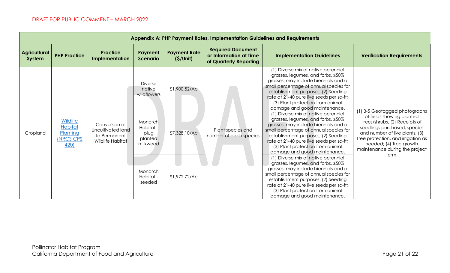| Appendix A: PHP Payment Rates, Implementation Guidelines and Requirements |                                                                           |                                                                        |                                                     |                                 |                                                                              |                                                                                                                                                                                                                                                                                                                                                                                               |                                                                                                                                                                                                             |  |
|---------------------------------------------------------------------------|---------------------------------------------------------------------------|------------------------------------------------------------------------|-----------------------------------------------------|---------------------------------|------------------------------------------------------------------------------|-----------------------------------------------------------------------------------------------------------------------------------------------------------------------------------------------------------------------------------------------------------------------------------------------------------------------------------------------------------------------------------------------|-------------------------------------------------------------------------------------------------------------------------------------------------------------------------------------------------------------|--|
| <b>Agricultural</b><br>System                                             | <b>PHP Practice</b>                                                       | <b>Practice</b><br>Implementation                                      | Payment<br><b>Scenario</b>                          | <b>Payment Rate</b><br>(S/Unit) | <b>Required Document</b><br>or Information at Time<br>of Quarterly Reporting | <b>Implementation Guidelines</b>                                                                                                                                                                                                                                                                                                                                                              | <b>Verification Requirements</b>                                                                                                                                                                            |  |
|                                                                           |                                                                           |                                                                        | <b>Diverse</b><br>native<br>wildflowers             | \$1,900.52/AC                   |                                                                              | (1) Diverse mix of native perennial<br>grasses, legumes, and forbs, <50%<br>grasses, may include biennials and a<br>small percentage of annual species for<br>establishment purposes; (2) Seeding<br>rate at 21-40 pure live seeds per sq-ft;<br>(3) Plant protection from animal<br>damage and good maintenance.<br>(1) Diverse mix of native perennial<br>grasses, legumes, and forbs, <50% | 1) 3-5 Geotagged photographs<br>of fields showing planted                                                                                                                                                   |  |
| Cropland                                                                  | <b>Wildlife</b><br><b>Habitat</b><br>Planting<br><b>INRCS CPS</b><br>420) | Conversion of<br>Uncultivated land<br>to Permanent<br>Wildlife Habitat | Monarch<br>Habitat -<br>plug<br>planted<br>milkweed | \$7,328.10/Ac                   | Plant species and<br>number of each species                                  | grasses, may include biennials and a<br>small percentage of annual species for<br>establishment purposes; (2) Seeding<br>rate at 21-40 pure live seeds per sq-ft;<br>(3) Plant protection from animal<br>damage and good maintenance.                                                                                                                                                         | trees/shrubs, (2) Receipts of<br>seedlings purchased, species<br>and number of live plants; (3)<br>Tree protection, and irrigation as<br>needed; (4) Tree growth<br>maintenance during the project<br>term. |  |
|                                                                           |                                                                           |                                                                        | Monarch<br>Habitat -<br>seeded                      | \$1,972.72/Ac                   |                                                                              | (1) Diverse mix of native perennial<br>grasses, legumes, and forbs, <50%<br>grasses, may include biennials and a<br>small percentage of annual species for<br>establishment purposes; (2) Seeding<br>rate at 21-40 pure live seeds per sq-ft;<br>(3) Plant protection from animal<br>damage and good maintenance.                                                                             |                                                                                                                                                                                                             |  |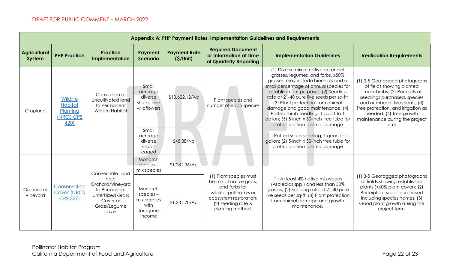| Appendix A: PHP Payment Rates, Implementation Guidelines and Requirements |                                                                    |                                                                                                    |                                                                                                            |                                 |                                                                                                                                          |                                                                                                                                                                                                                                                                                                                                                                                                                                                                                                                                                                       |                                                                                                                                                                                                                                                                           |  |  |  |
|---------------------------------------------------------------------------|--------------------------------------------------------------------|----------------------------------------------------------------------------------------------------|------------------------------------------------------------------------------------------------------------|---------------------------------|------------------------------------------------------------------------------------------------------------------------------------------|-----------------------------------------------------------------------------------------------------------------------------------------------------------------------------------------------------------------------------------------------------------------------------------------------------------------------------------------------------------------------------------------------------------------------------------------------------------------------------------------------------------------------------------------------------------------------|---------------------------------------------------------------------------------------------------------------------------------------------------------------------------------------------------------------------------------------------------------------------------|--|--|--|
| <b>Agricultural</b><br>System                                             | <b>PHP Practice</b>                                                | <b>Practice</b><br>Implementation                                                                  | Payment<br><b>Scenario</b>                                                                                 | <b>Payment Rate</b><br>(S/Unit) | <b>Required Document</b><br>or Information at Time<br>of Quarterly Reporting                                                             | <b>Implementation Guidelines</b>                                                                                                                                                                                                                                                                                                                                                                                                                                                                                                                                      | <b>Verification Requirements</b>                                                                                                                                                                                                                                          |  |  |  |
| Cropland                                                                  | Wildlife<br><b>Habitat</b><br>Planting<br><b>INRCS CPS</b><br>420) | Conversion of<br>Uncultivated land<br>to Permanent<br>Wildlife Habitat                             | Small<br>acreage<br>diverse<br>shrubs and<br>wildflowers<br>Small<br>acreage<br>diverse<br>shrubs<br>caged | \$13,622.12/AC<br>\$45.88/No    | Plant species and<br>number of each species                                                                                              | (1) Diverse mix of native perennial<br>grasses, legumes, and forbs, <50%<br>grasses, may include biennials and a<br>small percentage of annual species for<br>establishment purposes; (2) Seeding<br>rate at 21-40 pure live seeds per sq-ft;<br>(3) Plant protection from animal<br>damage and good maintenance. (4)<br>Potted shrub seedling, 1 quart to 1<br>gallon; (5) 5-inch x 30-inch tree tube for<br>protection from animal damage<br>(1) Potted shrub seedling, 1 quart to 1<br>gallon; (2) 5-inch x 30-inch tree tube for<br>protection from animal damage | (1) 3-5 Geotagged photographs<br>of fields showing planted<br>trees/shrubs, (2) Receipts of<br>seedlings purchased, species<br>and number of live plants; (3)<br>Tree protection, and irrigation as<br>needed; (4) Tree growth<br>maintenance during the project<br>term. |  |  |  |
|                                                                           |                                                                    | Convert Idle Land<br>near                                                                          | Monarch<br>$species -$<br>mix species                                                                      | \$1,281.36/AC                   | (1) Plant species must                                                                                                                   | (1) At least 4% native milkweeds                                                                                                                                                                                                                                                                                                                                                                                                                                                                                                                                      | (1) 3-5 Geotagged photographs                                                                                                                                                                                                                                             |  |  |  |
| Orchard or<br>Vineyard                                                    | Conservation<br><b>Cover (NRCS</b><br>CPS 327)                     | Orchard/Vineyard<br>to Permanent<br><b>Unfertilized Grass</b><br>Cover or<br>Grass/Legume<br>cover | <b>Monarch</b><br>$species -$<br>mix species<br>with<br>foregone<br>income                                 | \$1,331.70/Ac                   | be mix of native grass,<br>and forbs for<br>wildlife, pollinators or<br>ecosystem restoration;<br>(2) seeding rate &<br>planting method. | (Asclepias spp.) and less than 50%<br>grasses; (2) Seeding rate at 21-40 pure<br>live seeds per sq-ft; (3) Plant protection<br>from animal damage and growth<br>maintenance.                                                                                                                                                                                                                                                                                                                                                                                          | of fields showing established<br>plants (>60% plant cover); (2)<br>Receipts of seeds purchased<br>including species names; (3)<br>Good plant growth during the<br>project term.                                                                                           |  |  |  |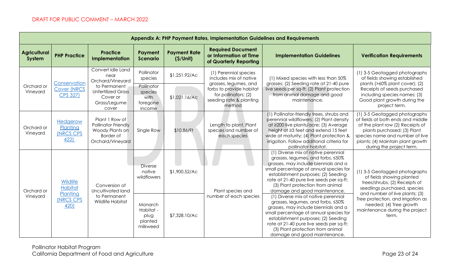| Appendix A: PHP Payment Rates, Implementation Guidelines and Requirements |                                                                    |                                                                                           |                                                     |                                                     |                                                                              |                                                                                                                                                                                                                                                                                                                   |                                                                                                                                                                                                                                           |                                                                                                              |  |  |
|---------------------------------------------------------------------------|--------------------------------------------------------------------|-------------------------------------------------------------------------------------------|-----------------------------------------------------|-----------------------------------------------------|------------------------------------------------------------------------------|-------------------------------------------------------------------------------------------------------------------------------------------------------------------------------------------------------------------------------------------------------------------------------------------------------------------|-------------------------------------------------------------------------------------------------------------------------------------------------------------------------------------------------------------------------------------------|--------------------------------------------------------------------------------------------------------------|--|--|
| <b>Agricultural</b><br>System                                             | <b>PHP Practice</b>                                                | <b>Practice</b><br>Implementation                                                         | Payment<br><b>Scenario</b>                          | <b>Payment Rate</b><br>(S/Unit)                     | <b>Required Document</b><br>or Information at Time<br>of Quarterly Reporting | <b>Implementation Guidelines</b>                                                                                                                                                                                                                                                                                  | <b>Verification Requirements</b>                                                                                                                                                                                                          |                                                                                                              |  |  |
|                                                                           | Conservation                                                       | Convert Idle Land<br>near<br>Orchard/Vineyard                                             | Pollinator<br>species                               | \$1,251.92/AC                                       | (1) Perennial species<br>includes mix of native                              | (1) Mixed species with less than 50%<br>grasses; (2) Seeding rate at 21-40 pure                                                                                                                                                                                                                                   | (1) 3-5 Geotagged photographs<br>of fields showing established<br>plants (>60% plant cover); (2)                                                                                                                                          |                                                                                                              |  |  |
| Orchard or<br>Vineyard                                                    | <b>Cover (NRCS</b><br><b>CPS 327)</b>                              | to Permanent<br><b>Unfertilized Grass</b><br>Cover or<br>Grass/Legume                     | cover                                               | Pollinator<br>species<br>with<br>foregone<br>income | \$1,021.16/AC                                                                | grasses, legumes, and<br>forbs to provide habitat<br>for pollinators; (2)<br>seeding rate & planting<br>method                                                                                                                                                                                                    | live seeds per sq-ft; (2) Plant protection<br>from animal damage and good<br>maintenance.                                                                                                                                                 | Receipts of seeds purchased<br>including species names; (3)<br>Good plant growth during the<br>project term. |  |  |
| Orchard or<br>Vineyard                                                    | <b>Hedgerow</b><br>Planting<br><b>INRCS CPS</b><br>422             | Plant 1 Row of<br>Pollinator Friendly<br>Woody Plants on<br>Border of<br>Orchard/Vineyard | Single Row                                          | \$10.86/Ft                                          | Length to plant, Plant<br>species and number of<br>each species              | (1) Pollinator-friendly trees, shrubs and<br>perennial wildflowers; (2) Plant density<br>at ≥200 live plants/acre; (3) Average<br>height at ≥3 feet and extend 15 feet<br>wide at maturity; (4) Plant protection &<br>irrigation. Follow additional criteria for<br>pollinator habitat.                           | (1) 3-5 Geotagged photographs<br>of fields at both ends and middle<br>of the plant row (2) Receipts of<br>plants purchased; (3) Plant<br>species name and number of live<br>plants; (4) Maintain plant growth<br>during the project term. |                                                                                                              |  |  |
| Orchard or<br>Vineyard                                                    | Wildlife<br><b>Habitat</b><br>Planting<br><b>INRCS CPS</b><br>420) | Conversion of<br>Uncultivated land<br>to Permanent<br>Wildlife Habitat                    | <b>Diverse</b><br>native<br>wildflowers             | \$1,900.52/Ac                                       | Plant species and                                                            | (1) Diverse mix of native perennial<br>grasses, legumes, and forbs, ≤50%<br>grasses, may include biennials and a<br>small percentage of annual species for<br>establishment purposes; (2) Seeding<br>rate at 21-40 pure live seeds per sq-ft;<br>(3) Plant protection from animal<br>damage and good maintenance. | (1) 3-5 Geotagged photographs<br>of fields showing planted<br>trees/shrubs, (2) Receipts of<br>seedlings purchased, species<br>and number of live plants; (3)                                                                             |                                                                                                              |  |  |
|                                                                           |                                                                    |                                                                                           | Monarch<br>Habitat -<br>plug<br>planted<br>milkweed | \$7,328.10/Ac                                       | number of each species                                                       | (1) Diverse mix of native perennial<br>grasses, legumes, and forbs, ≤50%<br>grasses, may include biennials and a<br>small percentage of annual species for<br>establishment purposes; (2) Seeding<br>rate at 21-40 pure live seeds per sq-ft;<br>(3) Plant protection from animal<br>damage and good maintenance. | Tree protection, and irrigation as<br>needed; (4) Tree growth<br>maintenance during the project<br>term.                                                                                                                                  |                                                                                                              |  |  |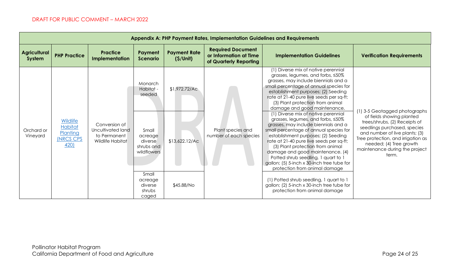| Appendix A: PHP Payment Rates, Implementation Guidelines and Requirements |                                                                           |                                                                        |                                                                                                                                              |                                               |                                                                              |                                                                                                                                                                                                                                                                                                                                                                                                                                                                                                                                                                                                                                                                                                                                                                                                                                                                                            |                                                                                                                                                                                                                                                                          |  |  |  |  |
|---------------------------------------------------------------------------|---------------------------------------------------------------------------|------------------------------------------------------------------------|----------------------------------------------------------------------------------------------------------------------------------------------|-----------------------------------------------|------------------------------------------------------------------------------|--------------------------------------------------------------------------------------------------------------------------------------------------------------------------------------------------------------------------------------------------------------------------------------------------------------------------------------------------------------------------------------------------------------------------------------------------------------------------------------------------------------------------------------------------------------------------------------------------------------------------------------------------------------------------------------------------------------------------------------------------------------------------------------------------------------------------------------------------------------------------------------------|--------------------------------------------------------------------------------------------------------------------------------------------------------------------------------------------------------------------------------------------------------------------------|--|--|--|--|
| <b>Agricultural</b><br>System                                             | <b>PHP Practice</b>                                                       | <b>Practice</b><br>Implementation                                      | Payment<br><b>Scenario</b>                                                                                                                   | <b>Payment Rate</b><br>(S/Unit)               | <b>Required Document</b><br>or Information at Time<br>of Quarterly Reporting | <b>Implementation Guidelines</b>                                                                                                                                                                                                                                                                                                                                                                                                                                                                                                                                                                                                                                                                                                                                                                                                                                                           | <b>Verification Requirements</b>                                                                                                                                                                                                                                         |  |  |  |  |
| Orchard or<br>Vineyard                                                    | <b>Wildlife</b><br><b>Habitat</b><br>Planting<br><b>INRCS CPS</b><br>420) | Conversion of<br>Uncultivated land<br>to Permanent<br>Wildlife Habitat | Monarch<br>Habitat -<br>seeded<br>Small<br>acreage<br>diverse<br>shrubs and<br>wildflowers<br>Small<br>acreage<br>diverse<br>shrubs<br>caged | \$1,972.72/Ac<br>\$13,622.12/AC<br>\$45.88/No | Plant species and<br>number of each species                                  | (1) Diverse mix of native perennial<br>grasses, legumes, and forbs, <50%<br>grasses, may include biennials and a<br>small percentage of annual species for<br>establishment purposes; (2) Seeding<br>rate at 21-40 pure live seeds per sq-ft;<br>(3) Plant protection from animal<br>damage and good maintenance.<br>(1) Diverse mix of native perennial<br>grasses, legumes, and forbs, <50%<br>grasses, may include biennials and a<br>small percentage of annual species for<br>establishment purposes; (2) Seeding<br>rate at 21-40 pure live seeds per sq-ft;<br>(3) Plant protection from animal<br>damage and good maintenance. (4)<br>Potted shrub seedling, 1 quart to 1<br>gallon; (5) 5-inch x 30-inch tree tube for<br>protection from animal damage<br>(1) Potted shrub seedling, 1 quart to 1<br>gallon; (2) 5-inch x 30-inch tree tube for<br>protection from animal damage | 1) 3-5 Geotagged photographs<br>of fields showing planted<br>trees/shrubs, (2) Receipts of<br>seedlings purchased, species<br>and number of live plants; (3)<br>Tree protection, and irrigation as<br>needed; (4) Tree growth<br>maintenance during the project<br>term. |  |  |  |  |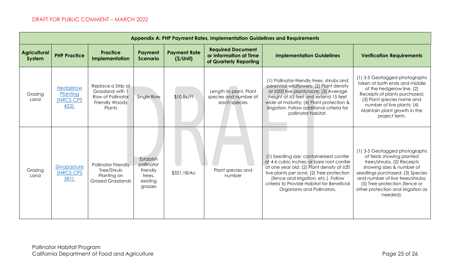| Appendix A: PHP Payment Rates, Implementation Guidelines and Requirements |                                                  |                                                                                         |                                                                      |                                 |                                                                              |                                                                                                                                                                                                                                                                                                     |                                                                                                                                                                                                                                                                                  |  |  |  |  |
|---------------------------------------------------------------------------|--------------------------------------------------|-----------------------------------------------------------------------------------------|----------------------------------------------------------------------|---------------------------------|------------------------------------------------------------------------------|-----------------------------------------------------------------------------------------------------------------------------------------------------------------------------------------------------------------------------------------------------------------------------------------------------|----------------------------------------------------------------------------------------------------------------------------------------------------------------------------------------------------------------------------------------------------------------------------------|--|--|--|--|
| <b>Agricultural</b><br>System                                             | <b>PHP Practice</b>                              | <b>Practice</b><br>Implementation                                                       | Payment<br><b>Scenario</b>                                           | <b>Payment Rate</b><br>(S/Unit) | <b>Required Document</b><br>or Information at Time<br>of Quarterly Reporting | <b>Implementation Guidelines</b>                                                                                                                                                                                                                                                                    | <b>Verification Requirements</b>                                                                                                                                                                                                                                                 |  |  |  |  |
| Grazing<br>Land                                                           | Hedgerow<br>Planting<br><b>(NRCS CPS</b><br>422) | Replace a Strip of<br>Grassland with 1<br>Row of Pollinator<br>Friendly Woody<br>Plants | Single Row                                                           | \$10.86/Ft                      | Length to plant, Plant<br>species and number of<br>each species              | (1) Pollinator-friendly trees, shrubs and<br>perennial wildflowers; (2) Plant density<br>at ≥200 live plants/acre; (3) Average<br>height at ≥3 feet and extend 15 feet<br>wide at maturity; (4) Plant protection &<br>irrigation. Follow additional criteria for<br>pollinator habitat.             | (1) 3-5 Geotagged photographs<br>taken at both ends and middle<br>of the hedgerow line. (2)<br>Receipts of plants purchased;<br>(3) Plant species name and<br>number of live plants; (4)<br>Maintain plant growth in the<br>project term.                                        |  |  |  |  |
| Grazing<br>Land                                                           | Silvopasture<br><b>INRCS CPS</b><br>381)         | Pollinator Friendly<br>Tree/Shrub<br>Planting on<br><b>Grazed Grasslands</b>            | Establish<br>pollinator<br>friendly<br>trees,<br>existing<br>grasses | \$321.18/Ac                     | Plant species and<br>number                                                  | (1) Seedling size: containerized conifer<br>at 4-6 cubic inches; or bare root conifer<br>at one year old; (2) Plant density at ≥20<br>live plants per acre; (2) Tree protection<br>(fence and irrigation, etc.). Follow<br>criteria to Provide Habitat for Beneficial<br>Organisms and Pollinators. | (1) 3-5 Geotagged photographs<br>of fields showing planted<br>trees/shrubs, (2) Receipts<br>showing sizes & number of<br>seedlings purchased; (3) Species<br>and number of live trees/shrubs;<br>(5) Tree protection (fence or<br>other protection and irrigation as<br>needed). |  |  |  |  |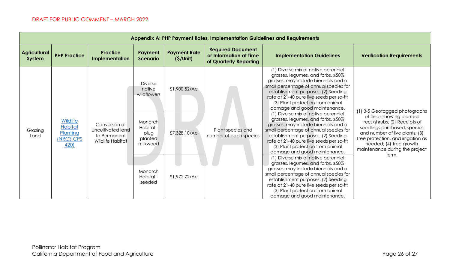| Appendix A: PHP Payment Rates, Implementation Guidelines and Requirements |                                                                           |                                                                        |                                                     |                                 |                                                                              |                                                                                                                                                                                                                                                                                                                   |                                                                                                                                                                                                                                          |  |  |  |  |
|---------------------------------------------------------------------------|---------------------------------------------------------------------------|------------------------------------------------------------------------|-----------------------------------------------------|---------------------------------|------------------------------------------------------------------------------|-------------------------------------------------------------------------------------------------------------------------------------------------------------------------------------------------------------------------------------------------------------------------------------------------------------------|------------------------------------------------------------------------------------------------------------------------------------------------------------------------------------------------------------------------------------------|--|--|--|--|
| <b>Agricultural</b><br>System                                             | <b>PHP Practice</b>                                                       | <b>Practice</b><br>Implementation                                      | Payment<br><b>Scenario</b>                          | <b>Payment Rate</b><br>(S/Unit) | <b>Required Document</b><br>or Information at Time<br>of Quarterly Reporting | <b>Implementation Guidelines</b>                                                                                                                                                                                                                                                                                  | <b>Verification Requirements</b>                                                                                                                                                                                                         |  |  |  |  |
| Grazing<br>Land                                                           | <b>Wildlife</b><br><b>Habitat</b><br>Planting<br><b>INRCS CPS</b><br>420) | Conversion of<br>Uncultivated land<br>to Permanent<br>Wildlife Habitat | <b>Diverse</b><br>native<br>wildflowers             | \$1,900.52/AC                   | Plant species and<br>number of each species                                  | (1) Diverse mix of native perennial<br>grasses, legumes, and forbs, <50%<br>grasses, may include biennials and a<br>small percentage of annual species for<br>establishment purposes; (2) Seeding<br>rate at 21-40 pure live seeds per sq-ft;<br>(3) Plant protection from animal<br>damage and good maintenance. | 1) 3-5 Geotagged photographs                                                                                                                                                                                                             |  |  |  |  |
|                                                                           |                                                                           |                                                                        | Monarch<br>Habitat -<br>plug<br>planted<br>milkweed | \$7,328.10/Ac                   |                                                                              | (1) Diverse mix of native perennial<br>grasses, legumes, and forbs, <50%<br>grasses, may include biennials and a<br>small percentage of annual species for<br>establishment purposes; (2) Seeding<br>rate at 21-40 pure live seeds per sq-ft;<br>(3) Plant protection from animal<br>damage and good maintenance. | of fields showing planted<br>trees/shrubs, (2) Receipts of<br>seedlings purchased, species<br>and number of live plants; (3)<br>Tree protection, and irrigation as<br>needed; (4) Tree growth<br>maintenance during the project<br>term. |  |  |  |  |
|                                                                           |                                                                           |                                                                        | Monarch<br>Habitat -<br>seeded                      | \$1,972.72/Ac                   |                                                                              | (1) Diverse mix of native perennial<br>grasses, legumes, and forbs, <50%<br>grasses, may include biennials and a<br>small percentage of annual species for<br>establishment purposes; (2) Seeding<br>rate at 21-40 pure live seeds per sq-ft;<br>(3) Plant protection from animal<br>damage and good maintenance. |                                                                                                                                                                                                                                          |  |  |  |  |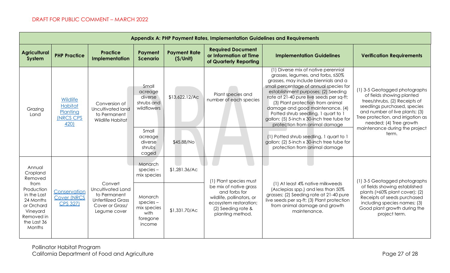| Appendix A: PHP Payment Rates, Implementation Guidelines and Requirements                                       |                                                                    |                                                                                                              |                                                                                         |                                 |                                                                                                                                          |                                                                                                                                                                                                                                                                                                                                                                                                                                                                                                                                      |                                                                                                                                                                                                                                                                           |  |  |  |  |
|-----------------------------------------------------------------------------------------------------------------|--------------------------------------------------------------------|--------------------------------------------------------------------------------------------------------------|-----------------------------------------------------------------------------------------|---------------------------------|------------------------------------------------------------------------------------------------------------------------------------------|--------------------------------------------------------------------------------------------------------------------------------------------------------------------------------------------------------------------------------------------------------------------------------------------------------------------------------------------------------------------------------------------------------------------------------------------------------------------------------------------------------------------------------------|---------------------------------------------------------------------------------------------------------------------------------------------------------------------------------------------------------------------------------------------------------------------------|--|--|--|--|
| <b>Agricultural</b><br>System                                                                                   | <b>PHP Practice</b>                                                | <b>Practice</b><br>Implementation                                                                            | Payment<br><b>Scenario</b>                                                              | <b>Payment Rate</b><br>(S/Unit) | <b>Required Document</b><br>or Information at Time<br>of Quarterly Reporting                                                             | <b>Implementation Guidelines</b>                                                                                                                                                                                                                                                                                                                                                                                                                                                                                                     | <b>Verification Requirements</b>                                                                                                                                                                                                                                          |  |  |  |  |
| Grazing<br>Land                                                                                                 | Wildlife<br><b>Habitat</b><br>Planting<br><b>INRCS CPS</b><br>420) | Conversion of<br>Uncultivated land<br>to Permanent<br>Wildlife Habitat                                       | Small<br>acreage<br>diverse<br>shrubs and<br>wildflowers<br>Small<br>acreage<br>diverse | \$13,622.12/AC<br>\$45.88/No    | Plant species and<br>number of each species                                                                                              | (1) Diverse mix of native perennial<br>grasses, legumes, and forbs, <50%<br>grasses, may include biennials and a<br>small percentage of annual species for<br>establishment purposes; (2) Seeding<br>rate at 21-40 pure live seeds per sq-ft;<br>(3) Plant protection from animal<br>damage and good maintenance. (4)<br>Potted shrub seedling, 1 quart to 1<br>gallon; (5) 5-inch x 30-inch tree tube for<br>protection from animal damage<br>(1) Potted shrub seedling, 1 quart to 1<br>gallon; (2) 5-inch x 30-inch tree tube for | (1) 3-5 Geotagged photographs<br>of fields showing planted<br>trees/shrubs, (2) Receipts of<br>seedlings purchased, species<br>and number of live plants; (3)<br>Tree protection, and irrigation as<br>needed; (4) Tree growth<br>maintenance during the project<br>term. |  |  |  |  |
|                                                                                                                 |                                                                    |                                                                                                              | shrubs<br>caged                                                                         |                                 |                                                                                                                                          | protection from animal damage                                                                                                                                                                                                                                                                                                                                                                                                                                                                                                        |                                                                                                                                                                                                                                                                           |  |  |  |  |
| Annual<br>Cropland<br>Removed                                                                                   | Conservation<br><b>Cover (NRCS</b><br><b>CPS 327)</b>              |                                                                                                              | Monarch<br>species –<br>mix species                                                     | \$1,281.36/Ac                   | (1) Plant species must                                                                                                                   |                                                                                                                                                                                                                                                                                                                                                                                                                                                                                                                                      | (1) 3-5 Geotagged photographs                                                                                                                                                                                                                                             |  |  |  |  |
| from<br>Production<br>in the Last<br>24 Months<br>or Orchard<br>Vineyard<br>Removed in<br>the Last 36<br>Months |                                                                    | Convert<br>Uncultivated Land<br>to Permanent<br><b>Unfertilized Grass</b><br>Cover or Grass/<br>Legume cover | Monarch<br>$species -$<br>mix species<br>with<br>foregone<br>income                     | \$1,331.70/Ac                   | be mix of native grass<br>and forbs for<br>wildlife, pollinators, or<br>ecosystem restoration;<br>(2) Seeding rate &<br>planting method. | (1) At least 4% native milkweeds<br>(Asclepias spp.) and less than 50%<br>grasses; (2) Seeding rate at 21-40 pure<br>live seeds per sq-ft; (3) Plant protection<br>from animal damage and growth<br>maintenance.                                                                                                                                                                                                                                                                                                                     | of fields showing established<br>plants $($ >60% plant cover $)$ ; $(2)$<br>Receipts of seeds purchased<br>including species names; (3)<br>Good plant growth during the<br>project term.                                                                                  |  |  |  |  |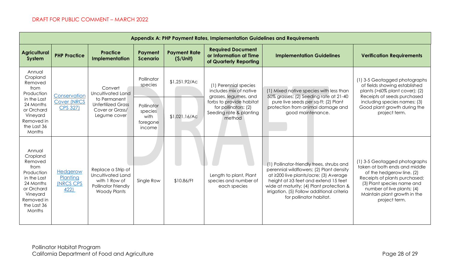| <b>Appendix A: PHP Payment Rates, Implementation Guidelines and Requirements</b>                                                                 |                                                 |                                                                                                              |                                                     |                                 |                                                                                                                                                                   |                                                                                                                                                                                                                                                                                             |                                                                                                                                                                                                                                           |  |  |  |  |
|--------------------------------------------------------------------------------------------------------------------------------------------------|-------------------------------------------------|--------------------------------------------------------------------------------------------------------------|-----------------------------------------------------|---------------------------------|-------------------------------------------------------------------------------------------------------------------------------------------------------------------|---------------------------------------------------------------------------------------------------------------------------------------------------------------------------------------------------------------------------------------------------------------------------------------------|-------------------------------------------------------------------------------------------------------------------------------------------------------------------------------------------------------------------------------------------|--|--|--|--|
| <b>Agricultural</b><br>System                                                                                                                    | <b>PHP Practice</b>                             | <b>Practice</b><br>Implementation                                                                            | Payment<br><b>Scenario</b>                          | <b>Payment Rate</b><br>(S/Unit) | <b>Required Document</b><br>or Information at Time<br>of Quarterly Reporting                                                                                      | <b>Implementation Guidelines</b>                                                                                                                                                                                                                                                            | <b>Verification Requirements</b>                                                                                                                                                                                                          |  |  |  |  |
| Annual<br>Cropland<br>Removed<br>from<br>Production<br>in the Last                                                                               | Conservation<br><b>Cover (NRCS</b>              | Convert<br>Uncultivated Land<br>to Permanent<br><b>Unfertilized Grass</b><br>Cover or Grass/<br>Legume cover | Pollinator<br>species                               | \$1,251.92/AC                   | (1) Perennial species<br>includes mix of native<br>grasses, legumes, and<br>forbs to provide habitat<br>for pollinators; (2)<br>Seeding rate & planting<br>method | (1) Mixed native species with less than<br>50% grasses; (2) Seeding rate at 21-40<br>pure live seeds per sq-ft; (2) Plant                                                                                                                                                                   | (1) 3-5 Geotagged photographs<br>of fields showing established<br>plants (>60% plant cover); (2)<br>Receipts of seeds purchased<br>including species names; (3)                                                                           |  |  |  |  |
| 24 Months<br>or Orchard<br>Vineyard<br>Removed in<br>the Last 36<br><b>Months</b>                                                                | <b>CPS 327)</b>                                 |                                                                                                              | Pollinator<br>species<br>with<br>foregone<br>income | \$1,021.16/AC                   |                                                                                                                                                                   | protection from animal damage and<br>good maintenance.                                                                                                                                                                                                                                      | Good plant growth during the<br>project term.                                                                                                                                                                                             |  |  |  |  |
| Annual<br>Cropland<br>Removed<br>from<br>Production<br>in the Last<br>24 Months<br>or Orchard<br>Vineyard<br>Removed in<br>the Last 36<br>Months | Hedgerow<br>Planting<br><b>(NRCS CPS</b><br>422 | Replace a Strip of<br>Uncultivated Land<br>with 1 Row of<br>Pollinator Friendly<br><b>Woody Plants</b>       | Single Row                                          | \$10.86/Ft                      | Length to plant, Plant<br>species and number of<br>each species                                                                                                   | (1) Pollinator-friendly trees, shrubs and<br>perennial wildflowers; (2) Plant density<br>at ≥200 live plants/acre; (3) Average<br>height at ≥3 feet and extend 15 feet<br>wide at maturity; (4) Plant protection &<br>irrigation. (5) Follow additional criteria<br>for pollinator habitat. | (1) 3-5 Geotagged photographs<br>taken at both ends and middle<br>of the hedgerow line. (2)<br>Receipts of plants purchased;<br>(3) Plant species name and<br>number of live plants; (4)<br>Maintain plant growth in the<br>project term. |  |  |  |  |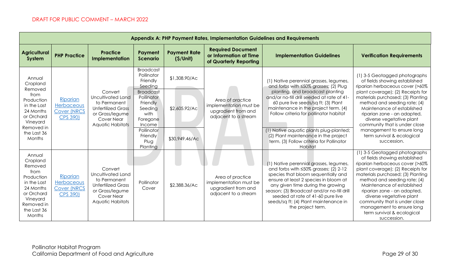|                                                                                                                                                  | <b>Appendix A: PHP Payment Rates, Implementation Guidelines and Requirements</b> |                                                                                                                                |                                                                                                                                                                        |                                                  |                                                                                           |                                                                                                                                                                                                                                                                                                                                                                               |                                                                                                                                                                                                                                                                                                                                                                                                  |  |  |  |  |  |
|--------------------------------------------------------------------------------------------------------------------------------------------------|----------------------------------------------------------------------------------|--------------------------------------------------------------------------------------------------------------------------------|------------------------------------------------------------------------------------------------------------------------------------------------------------------------|--------------------------------------------------|-------------------------------------------------------------------------------------------|-------------------------------------------------------------------------------------------------------------------------------------------------------------------------------------------------------------------------------------------------------------------------------------------------------------------------------------------------------------------------------|--------------------------------------------------------------------------------------------------------------------------------------------------------------------------------------------------------------------------------------------------------------------------------------------------------------------------------------------------------------------------------------------------|--|--|--|--|--|
| <b>Agricultural</b><br>System                                                                                                                    | <b>PHP Practice</b>                                                              | <b>Practice</b><br><b>Implementation</b>                                                                                       | Payment<br><b>Scenario</b>                                                                                                                                             | <b>Payment Rate</b><br>(S/Unit)                  | <b>Required Document</b><br>or Information at Time<br>of Quarterly Reporting              | <b>Implementation Guidelines</b>                                                                                                                                                                                                                                                                                                                                              | <b>Verification Requirements</b>                                                                                                                                                                                                                                                                                                                                                                 |  |  |  |  |  |
| Annual<br>Cropland<br>Removed<br>from<br>Production<br>in the Last<br>24 Months<br>or Orchard<br>Vineyard<br>Removed in<br>the Last 36<br>Months | Riparian<br>Herbaceous<br><b>Cover (NRCS</b><br><b>CPS 390)</b>                  | Convert<br>Uncultivated Land<br>to Permanent<br><b>Unfertilized Grass</b><br>or Grass/legume<br>Cover Near<br>Aquatic Habitats | <b>Broadcast</b><br>Pollinator<br>Friendly<br>Seeding<br><b>Broadcast</b><br>Pollinator<br>Friendly<br>Seeding<br>with<br>Foregone<br>Income<br>Pollinator<br>Friendly | \$1,308.90/Ac<br>\$2,605.92/Ac<br>\$30,949.46/Ac | Area of practice<br>implementation must be<br>upgradient from and<br>adjacent to a stream | (1) Native perennial grasses, legumes,<br>and forbs with ≤50% grasses; (2) Plug<br>planting, and broadcast planting<br>and/or no-till drill seeded at rate of 41-<br>60 pure live seeds/sq ft; (3) Plant<br>maintenance in the project term. (4)<br>Follow criteria for pollinator habitat<br>(1) Native aquatic plants plug-planted;<br>(2) Plant maintenance in the project | (1) 3-5 Geotagged photographs<br>of fields showing established<br>riparian herbaceous cover (>60%<br>plant coverage); (2) Receipts for<br>materials purchased; (3) Planting<br>method and seeding rate; (4)<br>Maintenance of established<br>riparian zone - an adapted,<br>diverse vegetative plant<br>community that is under close<br>management to ensure long<br>term survival & ecological |  |  |  |  |  |
| Annual<br>Cropland<br>Removed<br>from                                                                                                            |                                                                                  | Convert                                                                                                                        | Plug<br>Planting                                                                                                                                                       |                                                  |                                                                                           | term. (3) Follow criteria for Pollinator<br>Habitat<br>(1) Native perennial grasses, legumes,<br>and forbs with $\leq 50\%$ grasses; (2) 2-12                                                                                                                                                                                                                                 | succession.<br>(1) 3-5 Geotagged photographs<br>of fields showing established<br>riparian herbaceous cover (>60%<br>plant coverage); (2) Receipts for                                                                                                                                                                                                                                            |  |  |  |  |  |
| Production<br>in the Last<br>24 Months<br>or Orchard<br>Vineyard<br>Removed in<br>the Last 36<br>Months                                          | Riparian<br>Herbaceous<br><b>Cover (NRCS</b><br><b>CPS 390)</b>                  | Uncultivated Land<br>to Permanent<br><b>Unfertilized Grass</b><br>or Grass/legume<br>Cover Near<br>Aquatic Habitats            | Pollinator<br>Cover                                                                                                                                                    | \$2,388.36/Ac                                    | Area of practice<br>implementation must be<br>upgradient from and<br>adjacent to a stream | species that bloom sequentially and<br>ensure at least 2 species in bloom at<br>any given time during the growing<br>season; (3) Broadcast and/or no-till drill<br>seeded at rate of 41-60 pure live<br>seeds/sq ft; (4) Plant maintenance in<br>the project term.                                                                                                            | materials purchased; (3) Planting<br>method and seeding rate; (4)<br>Maintenance of established<br>riparian zone - an adapted,<br>diverse vegetative plant<br>community that is under close<br>management to ensure long<br>term survival & ecological<br>succession.                                                                                                                            |  |  |  |  |  |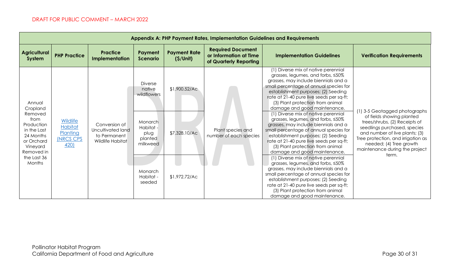| Appendix A: PHP Payment Rates, Implementation Guidelines and Requirements                                                                        |                                                                           |                                                                        |                                                                                                                                  |                                                 |                                                                              |                                                                                                                                                                                                                                                                                                                                                                                                                                                                                                                                                                                                                                                                                                                                                                                                                                                                                                                                                             |                                                                                                                                                                                                                                                                           |  |  |  |
|--------------------------------------------------------------------------------------------------------------------------------------------------|---------------------------------------------------------------------------|------------------------------------------------------------------------|----------------------------------------------------------------------------------------------------------------------------------|-------------------------------------------------|------------------------------------------------------------------------------|-------------------------------------------------------------------------------------------------------------------------------------------------------------------------------------------------------------------------------------------------------------------------------------------------------------------------------------------------------------------------------------------------------------------------------------------------------------------------------------------------------------------------------------------------------------------------------------------------------------------------------------------------------------------------------------------------------------------------------------------------------------------------------------------------------------------------------------------------------------------------------------------------------------------------------------------------------------|---------------------------------------------------------------------------------------------------------------------------------------------------------------------------------------------------------------------------------------------------------------------------|--|--|--|
| <b>Agricultural</b><br>System                                                                                                                    | <b>PHP Practice</b>                                                       | <b>Practice</b><br>Implementation                                      | Payment<br><b>Scenario</b>                                                                                                       | <b>Payment Rate</b><br>(S/Unit)                 | <b>Required Document</b><br>or Information at Time<br>of Quarterly Reporting | <b>Implementation Guidelines</b>                                                                                                                                                                                                                                                                                                                                                                                                                                                                                                                                                                                                                                                                                                                                                                                                                                                                                                                            | <b>Verification Requirements</b>                                                                                                                                                                                                                                          |  |  |  |
| Annual<br>Cropland<br>Removed<br>from<br>Production<br>in the Last<br>24 Months<br>or Orchard<br>Vineyard<br>Removed in<br>the Last 36<br>Months | <b>Wildlife</b><br><b>Habitat</b><br>Planting<br><b>INRCS CPS</b><br>420) | Conversion of<br>Uncultivated land<br>to Permanent<br>Wildlife Habitat | <b>Diverse</b><br>native<br>wildflowers<br>Monarch<br>Habitat -<br>plug<br>planted<br>milkweed<br>Monarch<br>Habitat -<br>seeded | \$1,900.52/Ac<br>\$7,328.10/Ac<br>\$1,972.72/Ac | Plant species and<br>number of each species                                  | (1) Diverse mix of native perennial<br>grasses, legumes, and forbs, <50%<br>grasses, may include biennials and a<br>small percentage of annual species for<br>establishment purposes; (2) Seeding<br>rate at 21-40 pure live seeds per sq-ft;<br>(3) Plant protection from animal<br>damage and good maintenance.<br>(1) Diverse mix of native perennial<br>grasses, legumes, and forbs, <50%<br>grasses, may include biennials and a<br>small percentage of annual species for<br>establishment purposes; (2) Seeding<br>rate at 21-40 pure live seeds per sq-ft;<br>(3) Plant protection from animal<br>damage and good maintenance.<br>(1) Diverse mix of native perennial<br>grasses, legumes, and forbs, <50%<br>grasses, may include biennials and a<br>small percentage of annual species for<br>establishment purposes; (2) Seeding<br>rate at 21-40 pure live seeds per sq-ft;<br>(3) Plant protection from animal<br>damage and good maintenance. | (1) 3-5 Geotagged photographs<br>of fields showing planted<br>trees/shrubs, (2) Receipts of<br>seedlings purchased, species<br>and number of live plants; (3)<br>Tree protection, and irrigation as<br>needed; (4) Tree growth<br>maintenance during the project<br>term. |  |  |  |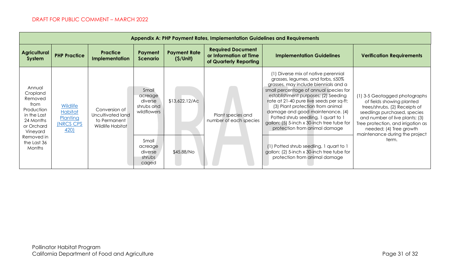| <b>Appendix A: PHP Payment Rates, Implementation Guidelines and Requirements</b>                                                                        |                                                                                  |                                                                        |                                                                                                            |                                 |                                                                              |                                                                                                                                                                                                                                                                                                                                                                                                                                                                                                                                                                       |                                                                                                                                                                                                                                                                           |  |  |  |  |
|---------------------------------------------------------------------------------------------------------------------------------------------------------|----------------------------------------------------------------------------------|------------------------------------------------------------------------|------------------------------------------------------------------------------------------------------------|---------------------------------|------------------------------------------------------------------------------|-----------------------------------------------------------------------------------------------------------------------------------------------------------------------------------------------------------------------------------------------------------------------------------------------------------------------------------------------------------------------------------------------------------------------------------------------------------------------------------------------------------------------------------------------------------------------|---------------------------------------------------------------------------------------------------------------------------------------------------------------------------------------------------------------------------------------------------------------------------|--|--|--|--|
| <b>Agricultural</b><br>System                                                                                                                           | <b>PHP Practice</b>                                                              | <b>Practice</b><br><b>Implementation</b>                               | Payment<br><b>Scenario</b>                                                                                 | <b>Payment Rate</b><br>(S/Unit) | <b>Required Document</b><br>or Information at Time<br>of Quarterly Reporting | <b>Implementation Guidelines</b>                                                                                                                                                                                                                                                                                                                                                                                                                                                                                                                                      | <b>Verification Requirements</b>                                                                                                                                                                                                                                          |  |  |  |  |
| Annual<br>Cropland<br>Removed<br>from<br>Production<br>in the Last<br>24 Months<br>or Orchard<br>Vineyard<br>Removed in<br>the Last 36<br><b>Months</b> | <b>Wildlife</b><br><b>Habitat</b><br>Planting<br><b>INRCS CPS</b><br><u>420)</u> | Conversion of<br>Uncultivated land<br>to Permanent<br>Wildlife Habitat | Small<br>acreage<br>diverse<br>shrubs and<br>wildflowers<br>Small<br>acreage<br>diverse<br>shrubs<br>caged | \$13,622.12/AC<br>\$45.88/No    | Plant species and<br>number of each species                                  | (1) Diverse mix of native perennial<br>grasses, legumes, and forbs, <50%<br>grasses, may include biennials and a<br>small percentage of annual species for<br>establishment purposes; (2) Seeding<br>rate at 21-40 pure live seeds per sq-ft;<br>(3) Plant protection from animal<br>damage and good maintenance. (4)<br>Potted shrub seedling, 1 quart to 1<br>gallon; (5) 5-inch x 30-inch tree tube for<br>protection from animal damage<br>(1) Potted shrub seedling, 1 quart to 1<br>gallon; (2) 5-inch x 30-inch tree tube for<br>protection from animal damage | (1) 3-5 Geotagged photographs<br>of fields showing planted<br>trees/shrubs, (2) Receipts of<br>seedlings purchased, species<br>and number of live plants; (3)<br>Tree protection, and irrigation as<br>needed; (4) Tree growth<br>maintenance during the project<br>term. |  |  |  |  |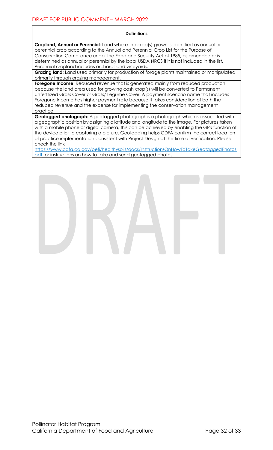#### **Definitions**

**Cropland, Annual or Perennial**: Land where the crop(s) grown is identified as annual or perennial crop according to the Annual and Perennial Crop List for the Purpose of Conservation Compliance under the Food and Security Act of 1985, as amended or is determined as annual or perennial by the local USDA NRCS if it is not included in the list. Perennial cropland includes orchards and vineyards.

**Grazing land**: Land used primarily for production of forage plants maintained or manipulated primarily through grazing management.

**Foregone Income:** Reduced revenue that is generated mainly from reduced production because the land area used for growing cash crop(s) will be converted to Permanent Unfertilized Grass Cover or Grass/ Legume Cover. A payment scenario name that includes Foregone Income has higher payment rate because it takes consideration of both the reduced revenue and the expense for implementing the conservation management practice.

**Geotagged photograph:** A geotagged photograph is a photograph which is associated with a geographic position by assigning a latitude and longitude to the image. For pictures taken with a mobile phone or digital camera, this can be achieved by enabling the GPS function of the device prior to capturing a picture. Geotagging helps CDFA confirm the correct location of practice implementation consistent with Project Design at the time of verification. Please check the link

https://www.cdfa.ca.gov/oefi/healthysoils/docs/InstructionsOnHowToTakeGeotaggedPhotos. pdf for instructions on how to take and send geotagged photos.